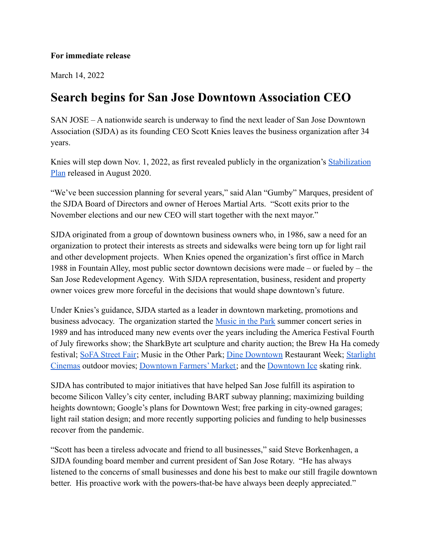## **For immediate release**

March 14, 2022

## **Search begins for San Jose Downtown Association CEO**

SAN JOSE – A nationwide search is underway to find the next leader of San Jose Downtown Association (SJDA) as its founding CEO Scott Knies leaves the business organization after 34 years.

Knies will step down Nov. 1, 2022, as first revealed publicly in the organization's [Stabilization](https://sjdowntown.com/stabilization-plan/) [Plan](https://sjdowntown.com/stabilization-plan/) released in August 2020.

"We've been succession planning for several years," said Alan "Gumby" Marques, president of the SJDA Board of Directors and owner of Heroes Martial Arts. "Scott exits prior to the November elections and our new CEO will start together with the next mayor."

SJDA originated from a group of downtown business owners who, in 1986, saw a need for an organization to protect their interests as streets and sidewalks were being torn up for light rail and other development projects. When Knies opened the organization's first office in March 1988 in Fountain Alley, most public sector downtown decisions were made – or fueled by – the San Jose Redevelopment Agency. With SJDA representation, business, resident and property owner voices grew more forceful in the decisions that would shape downtown's future.

Under Knies's guidance, SJDA started as a leader in downtown marketing, promotions and business advocacy. The organization started the Music [in the Park](https://sjdowntown.com/music-in-the-park/) summer concert series in 1989 and has introduced many new events over the years including the America Festival Fourth of July fireworks show; the SharkByte art sculpture and charity auction; the Brew Ha Ha comedy festival; [SoFA Street Fair](https://www.facebook.com/sofastreetfair/); Music in the Other Park; [Dine Downtown](https://sjdowntown.com/dine-downtown/) Restaurant Week; [Starlight](https://sjdowntown.com/starlight-cinemas/) [Cinemas](https://sjdowntown.com/starlight-cinemas/) outdoor movies; [Downtown Farmers' Market;](https://sjdowntown.com/downtown-farmers-market/) and the [Downtown Ice](https://www.downtownicesj.com/) skating rink.

SJDA has contributed to major initiatives that have helped San Jose fulfill its aspiration to become Silicon Valley's city center, including BART subway planning; maximizing building heights downtown; Google's plans for Downtown West; free parking in city-owned garages; light rail station design; and more recently supporting policies and funding to help businesses recover from the pandemic.

"Scott has been a tireless advocate and friend to all businesses," said Steve Borkenhagen, a SJDA founding board member and current president of San Jose Rotary. "He has always listened to the concerns of small businesses and done his best to make our still fragile downtown better. His proactive work with the powers-that-be have always been deeply appreciated."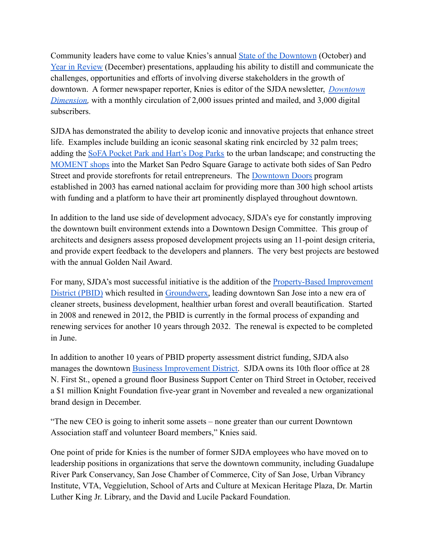Community leaders have come to value Knies's annual [State of the Downtown](https://sjdowntown.com/who-we-are/) (October) and [Year in Review](https://sjdowntown.com/who-we-are/) (December) presentations, applauding his ability to distill and communicate the challenges, opportunities and efforts of involving diverse stakeholders in the growth of downtown. A former newspaper reporter, Knies is editor of the SJDA newsletter, *[Downtown](https://sjdowntown.com/news/) [Dimension,](https://sjdowntown.com/news/)* with a monthly circulation of 2,000 issues printed and mailed, and 3,000 digital subscribers.

SJDA has demonstrated the ability to develop iconic and innovative projects that enhance street life. Examples include building an iconic seasonal skating rink encircled by 32 palm trees; adding the [SoFA Pocket Park and Hart's Dog Parks](https://sjdowntown.com/dog-parks/) to the urban landscape; and constructing the [MOMENT shops](https://www.moment-sj.com/) into the Market San Pedro Square Garage to activate both sides of San Pedro Street and provide storefronts for retail entrepreneurs. The [Downtown Doors](https://sjdowntown.com/doors/) program established in 2003 has earned national acclaim for providing more than 300 high school artists with funding and a platform to have their art prominently displayed throughout downtown.

In addition to the land use side of development advocacy, SJDA's eye for constantly improving the downtown built environment extends into a Downtown Design Committee. This group of architects and designers assess proposed development projects using an 11-point design criteria, and provide expert feedback to the developers and planners. The very best projects are bestowed with the annual Golden Nail Award.

For many, SJDA's most successful initiative is the addition of the **[Property-Based Improvement](https://sjdowntown.com/property-based-improvement-district/)** [District \(PBID\)](https://sjdowntown.com/property-based-improvement-district/) which resulted in [Groundwerx,](https://sjdowntown.com/groundwerx/) leading downtown San Jose into a new era of cleaner streets, business development, healthier urban forest and overall beautification. Started in 2008 and renewed in 2012, the PBID is currently in the formal process of expanding and renewing services for another 10 years through 2032. The renewal is expected to be completed in June.

In addition to another 10 years of PBID property assessment district funding, SJDA also manages the downtown [Business Improvement District.](https://sjdowntown.com/who-we-are/) SJDA owns its 10th floor office at 28 N. First St., opened a ground floor Business Support Center on Third Street in October, received a \$1 million Knight Foundation five-year grant in November and revealed a new organizational brand design in December.

"The new CEO is going to inherit some assets – none greater than our current Downtown Association staff and volunteer Board members," Knies said.

One point of pride for Knies is the number of former SJDA employees who have moved on to leadership positions in organizations that serve the downtown community, including Guadalupe River Park Conservancy, San Jose Chamber of Commerce, City of San Jose, Urban Vibrancy Institute, VTA, Veggielution, School of Arts and Culture at Mexican Heritage Plaza, Dr. Martin Luther King Jr. Library, and the David and Lucile Packard Foundation.